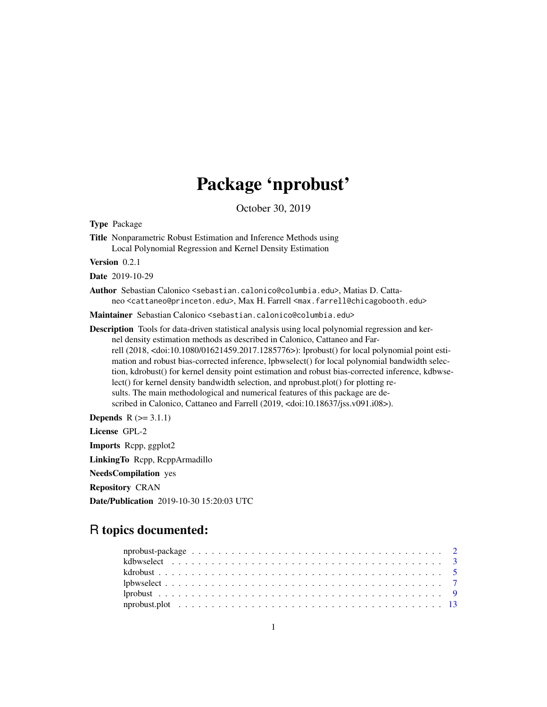## Package 'nprobust'

October 30, 2019

<span id="page-0-0"></span>Type Package

Title Nonparametric Robust Estimation and Inference Methods using Local Polynomial Regression and Kernel Density Estimation

Version 0.2.1

Date 2019-10-29

Author Sebastian Calonico <sebastian.calonico@columbia.edu>, Matias D. Cattaneo <cattaneo@princeton.edu>, Max H. Farrell <max.farrell@chicagobooth.edu>

Maintainer Sebastian Calonico <sebastian.calonico@columbia.edu>

Description Tools for data-driven statistical analysis using local polynomial regression and kernel density estimation methods as described in Calonico, Cattaneo and Farrell (2018, <doi:10.1080/01621459.2017.1285776>): lprobust() for local polynomial point estimation and robust bias-corrected inference, lpbwselect() for local polynomial bandwidth selection, kdrobust() for kernel density point estimation and robust bias-corrected inference, kdbwselect() for kernel density bandwidth selection, and nprobust.plot() for plotting results. The main methodological and numerical features of this package are described in Calonico, Cattaneo and Farrell (2019, <doi:10.18637/jss.v091.i08>).

**Depends**  $R (= 3.1.1)$ 

License GPL-2

Imports Rcpp, ggplot2

LinkingTo Rcpp, RcppArmadillo

NeedsCompilation yes

Repository CRAN

Date/Publication 2019-10-30 15:20:03 UTC

## R topics documented: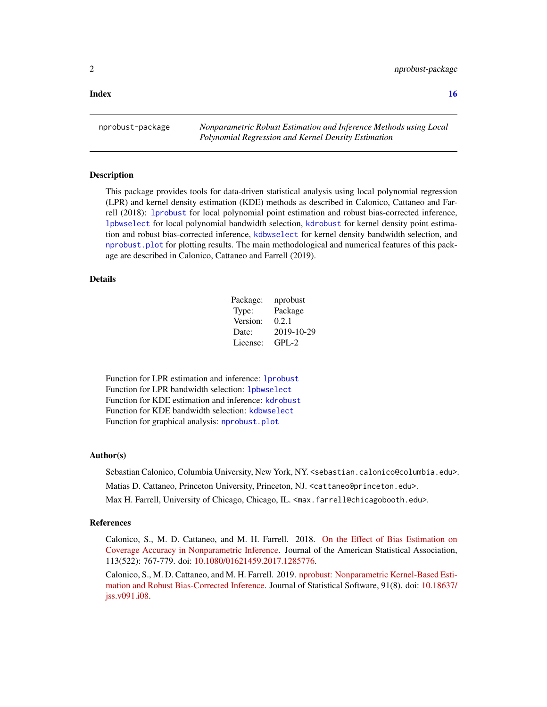#### <span id="page-1-0"></span>**Index** the contract of the contract of the contract of the contract of the contract of the contract of the contract of the contract of the contract of the contract of the contract of the contract of the contract of the co

nprobust-package *Nonparametric Robust Estimation and Inference Methods using Local Polynomial Regression and Kernel Density Estimation*

#### **Description**

This package provides tools for data-driven statistical analysis using local polynomial regression (LPR) and kernel density estimation (KDE) methods as described in Calonico, Cattaneo and Farrell (2018): [lprobust](#page-8-1) for local polynomial point estimation and robust bias-corrected inference, [lpbwselect](#page-6-1) for local polynomial bandwidth selection, [kdrobust](#page-4-1) for kernel density point estimation and robust bias-corrected inference, [kdbwselect](#page-2-1) for kernel density bandwidth selection, and [nprobust.plot](#page-12-1) for plotting results. The main methodological and numerical features of this package are described in Calonico, Cattaneo and Farrell (2019).

#### Details

| Package: | nprobust   |
|----------|------------|
| Type:    | Package    |
| Version: | 0.2.1      |
| Date:    | 2019-10-29 |
| License: | $GPI - 2$  |

Function for LPR estimation and inference: [lprobust](#page-8-1) Function for LPR bandwidth selection: [lpbwselect](#page-6-1) Function for KDE estimation and inference: [kdrobust](#page-4-1) Function for KDE bandwidth selection: [kdbwselect](#page-2-1) Function for graphical analysis: [nprobust.plot](#page-12-1)

#### Author(s)

Sebastian Calonico, Columbia University, New York, NY. <sebastian.calonico@columbia.edu>.

Matias D. Cattaneo, Princeton University, Princeton, NJ. <cattaneo@princeton.edu>.

Max H. Farrell, University of Chicago, Chicago, IL. <max.farrell@chicagobooth.edu>.

#### References

Calonico, S., M. D. Cattaneo, and M. H. Farrell. 2018. [On the Effect of Bias Estimation on](https://sites.google.com/site/nppackages/nprobust/Calonico-Cattaneo-Farrell_2018_JASA.pdf) [Coverage Accuracy in Nonparametric Inference.](https://sites.google.com/site/nppackages/nprobust/Calonico-Cattaneo-Farrell_2018_JASA.pdf) Journal of the American Statistical Association, 113(522): 767-779. doi: [10.1080/01621459.2017.1285776.](https://doi.org/10.1080/01621459.2017.1285776)

Calonico, S., M. D. Cattaneo, and M. H. Farrell. 2019. [nprobust: Nonparametric Kernel-Based Esti](http://sites.google.com/site/nppackages/nprobust/Calonico-Cattaneo-Farrell_2019_JSS.pdf)[mation and Robust Bias-Corrected Inference.](http://sites.google.com/site/nppackages/nprobust/Calonico-Cattaneo-Farrell_2019_JSS.pdf) Journal of Statistical Software, 91(8). doi: [10.18637/](https://doi.org/10.18637/jss.v091.i08) [jss.v091.i08.](https://doi.org/10.18637/jss.v091.i08)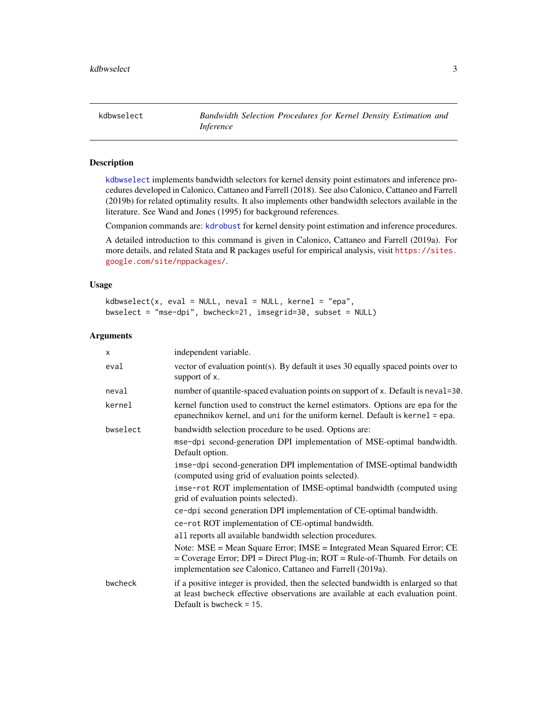<span id="page-2-1"></span><span id="page-2-0"></span>kdbwselect *Bandwidth Selection Procedures for Kernel Density Estimation and Inference*

#### Description

[kdbwselect](#page-2-1) implements bandwidth selectors for kernel density point estimators and inference procedures developed in Calonico, Cattaneo and Farrell (2018). See also Calonico, Cattaneo and Farrell (2019b) for related optimality results. It also implements other bandwidth selectors available in the literature. See Wand and Jones (1995) for background references.

Companion commands are: [kdrobust](#page-4-1) for kernel density point estimation and inference procedures.

A detailed introduction to this command is given in Calonico, Cattaneo and Farrell (2019a). For more details, and related Stata and R packages useful for empirical analysis, visit [https://sites.](https://sites.google.com/site/nppackages/) [google.com/site/nppackages/](https://sites.google.com/site/nppackages/).

#### Usage

```
kdbwselect(x, eval = NULL, neval = NULL, kernel = "epa",
bwselect = "mse-dpi", bwcheck=21, imsegrid=30, subset = NULL)
```

| X        | independent variable.                                                                                                                                                                                                      |
|----------|----------------------------------------------------------------------------------------------------------------------------------------------------------------------------------------------------------------------------|
| eval     | vector of evaluation point(s). By default it uses 30 equally spaced points over to<br>support of x.                                                                                                                        |
| neval    | number of quantile-spaced evaluation points on support of x. Default is neval=30.                                                                                                                                          |
| kernel   | kernel function used to construct the kernel estimators. Options are epa for the<br>epanechnikov kernel, and uni for the uniform kernel. Default is kernel = epa.                                                          |
| bwselect | bandwidth selection procedure to be used. Options are:                                                                                                                                                                     |
|          | mse-dpi second-generation DPI implementation of MSE-optimal bandwidth.<br>Default option.                                                                                                                                  |
|          | imse-dpi second-generation DPI implementation of IMSE-optimal bandwidth<br>(computed using grid of evaluation points selected).                                                                                            |
|          | imse-rot ROT implementation of IMSE-optimal bandwidth (computed using<br>grid of evaluation points selected).                                                                                                              |
|          | ce-dpi second generation DPI implementation of CE-optimal bandwidth.                                                                                                                                                       |
|          | ce-rot ROT implementation of CE-optimal bandwidth.                                                                                                                                                                         |
|          | all reports all available bandwidth selection procedures.                                                                                                                                                                  |
|          | Note: MSE = Mean Square Error; IMSE = Integrated Mean Squared Error; CE<br>$=$ Coverage Error; DPI $=$ Direct Plug-in; ROT $=$ Rule-of-Thumb. For details on<br>implementation see Calonico, Cattaneo and Farrell (2019a). |
| bwcheck  | if a positive integer is provided, then the selected bandwidth is enlarged so that<br>at least bwcheck effective observations are available at each evaluation point.<br>Default is bwcheck $= 15$ .                       |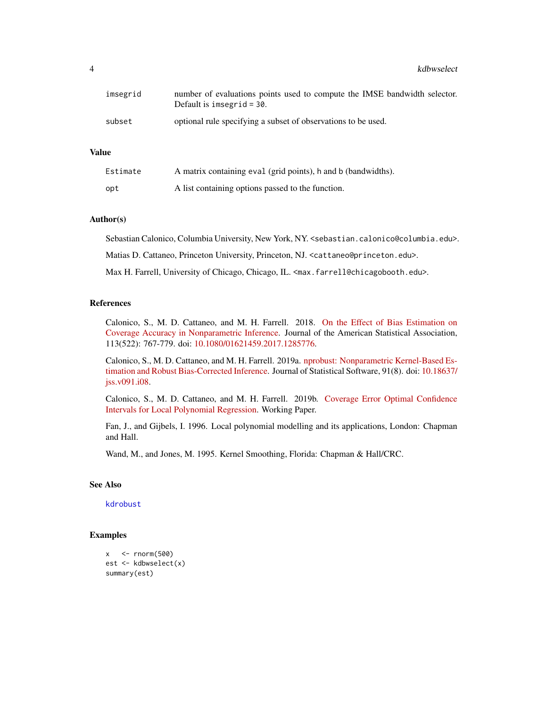4 kdbwselect and the state of the state of the state of the state of the state of the state of the state of the state of the state of the state of the state of the state of the state of the state of the state of the state

| imsegrid | number of evaluations points used to compute the IMSE bandwidth selector.<br>Default is imsegrid $=$ 30. |
|----------|----------------------------------------------------------------------------------------------------------|
| subset   | optional rule specifying a subset of observations to be used.                                            |

#### Value

| Estimate | A matrix containing eval (grid points), h and b (bandwidths). |
|----------|---------------------------------------------------------------|
| opt      | A list containing options passed to the function.             |

#### Author(s)

Sebastian Calonico, Columbia University, New York, NY. <sebastian.calonico@columbia.edu>.

Matias D. Cattaneo, Princeton University, Princeton, NJ. <cattaneo@princeton.edu>.

Max H. Farrell, University of Chicago, Chicago, IL. <max.farrell@chicagobooth.edu>.

#### References

Calonico, S., M. D. Cattaneo, and M. H. Farrell. 2018. [On the Effect of Bias Estimation on](https://sites.google.com/site/nppackages/nprobust/Calonico-Cattaneo-Farrell_2018_JASA.pdf) [Coverage Accuracy in Nonparametric Inference.](https://sites.google.com/site/nppackages/nprobust/Calonico-Cattaneo-Farrell_2018_JASA.pdf) Journal of the American Statistical Association, 113(522): 767-779. doi: [10.1080/01621459.2017.1285776.](https://doi.org/10.1080/01621459.2017.1285776)

Calonico, S., M. D. Cattaneo, and M. H. Farrell. 2019a. [nprobust: Nonparametric Kernel-Based Es](http://sites.google.com/site/nppackages/nprobust/Calonico-Cattaneo-Farrell_2019_JSS.pdf)[timation and Robust Bias-Corrected Inference.](http://sites.google.com/site/nppackages/nprobust/Calonico-Cattaneo-Farrell_2019_JSS.pdf) Journal of Statistical Software, 91(8). doi: [10.18637/](https://doi.org/10.18637/jss.v091.i08) [jss.v091.i08.](https://doi.org/10.18637/jss.v091.i08)

Calonico, S., M. D. Cattaneo, and M. H. Farrell. 2019b. [Coverage Error Optimal Confidence](https://sites.google.com/site/nppackages/nprobust/Calonico-Cattaneo-Farrell_2019_CEopt.pdf) [Intervals for Local Polynomial Regression.](https://sites.google.com/site/nppackages/nprobust/Calonico-Cattaneo-Farrell_2019_CEopt.pdf) Working Paper.

Fan, J., and Gijbels, I. 1996. Local polynomial modelling and its applications, London: Chapman and Hall.

Wand, M., and Jones, M. 1995. Kernel Smoothing, Florida: Chapman & Hall/CRC.

#### See Also

[kdrobust](#page-4-1)

#### Examples

```
x < - rnorm(500)
est <- kdbwselect(x)
summary(est)
```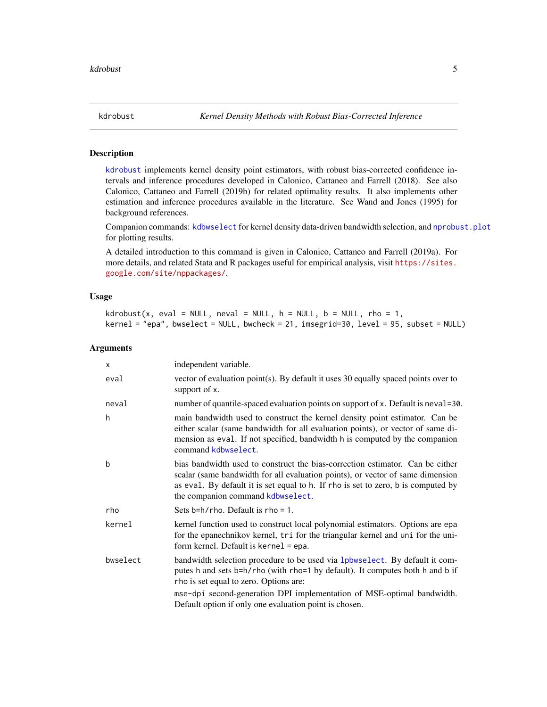<span id="page-4-1"></span><span id="page-4-0"></span>

#### **Description**

[kdrobust](#page-4-1) implements kernel density point estimators, with robust bias-corrected confidence intervals and inference procedures developed in Calonico, Cattaneo and Farrell (2018). See also Calonico, Cattaneo and Farrell (2019b) for related optimality results. It also implements other estimation and inference procedures available in the literature. See Wand and Jones (1995) for background references.

Companion commands: [kdbwselect](#page-2-1) for kernel density data-driven bandwidth selection, and [nprobust.plot](#page-12-1) for plotting results.

A detailed introduction to this command is given in Calonico, Cattaneo and Farrell (2019a). For more details, and related Stata and R packages useful for empirical analysis, visit [https://sites.](https://sites.google.com/site/nppackages/) [google.com/site/nppackages/](https://sites.google.com/site/nppackages/).

#### Usage

 $k$ drobust(x, eval = NULL, neval = NULL,  $h$  = NULL,  $b$  = NULL, rho = 1, kernel = "epa", bwselect = NULL, bwcheck = 21, imsegrid=30, level = 95, subset = NULL)

| X        | independent variable.                                                                                                                                                                                                                                                                     |
|----------|-------------------------------------------------------------------------------------------------------------------------------------------------------------------------------------------------------------------------------------------------------------------------------------------|
| eval     | vector of evaluation point(s). By default it uses 30 equally spaced points over to<br>support of x.                                                                                                                                                                                       |
| neval    | number of quantile-spaced evaluation points on support of x. Default is neval=30.                                                                                                                                                                                                         |
| h        | main bandwidth used to construct the kernel density point estimator. Can be<br>either scalar (same bandwidth for all evaluation points), or vector of same di-<br>mension as eval. If not specified, bandwidth h is computed by the companion<br>command kdbwselect.                      |
| b        | bias bandwidth used to construct the bias-correction estimator. Can be either<br>scalar (same bandwidth for all evaluation points), or vector of same dimension<br>as eval. By default it is set equal to h. If rho is set to zero, b is computed by<br>the companion command kdbwselect. |
| rho      | Sets $b=h/r$ ho. Default is rho = 1.                                                                                                                                                                                                                                                      |
| kernel   | kernel function used to construct local polynomial estimators. Options are epa<br>for the epanechnikov kernel, tri for the triangular kernel and uni for the uni-<br>form kernel. Default is kernel = epa.                                                                                |
| bwselect | bandwidth selection procedure to be used via 1 physelect. By default it com-<br>putes h and sets b=h/rho (with rho=1 by default). It computes both h and b if<br>rho is set equal to zero. Options are:                                                                                   |
|          | mse-dpi second-generation DPI implementation of MSE-optimal bandwidth.<br>Default option if only one evaluation point is chosen.                                                                                                                                                          |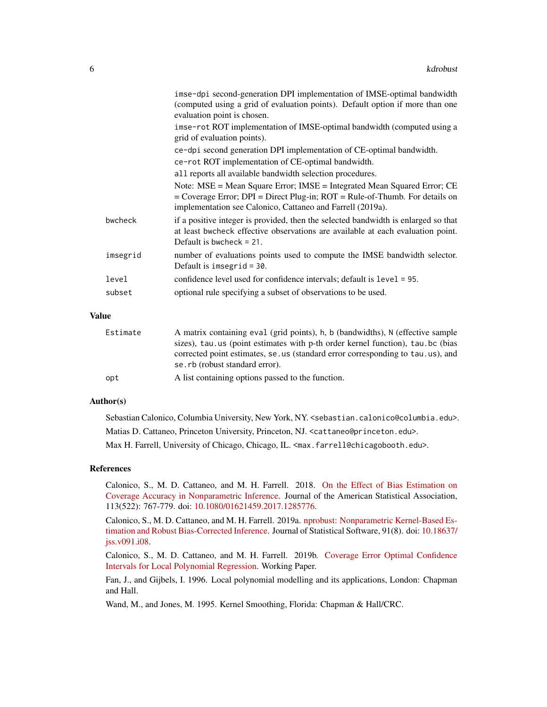|          | imse-dpi second-generation DPI implementation of IMSE-optimal bandwidth                                                                                                                                                    |
|----------|----------------------------------------------------------------------------------------------------------------------------------------------------------------------------------------------------------------------------|
|          | (computed using a grid of evaluation points). Default option if more than one<br>evaluation point is chosen.                                                                                                               |
|          | imse-rot ROT implementation of IMSE-optimal bandwidth (computed using a<br>grid of evaluation points).                                                                                                                     |
|          | ce-dpi second generation DPI implementation of CE-optimal bandwidth.                                                                                                                                                       |
|          | ce-rot ROT implementation of CE-optimal bandwidth.                                                                                                                                                                         |
|          | all reports all available bandwidth selection procedures.                                                                                                                                                                  |
|          | Note: MSE = Mean Square Error; IMSE = Integrated Mean Squared Error; CE<br>$=$ Coverage Error; DPI $=$ Direct Plug-in; ROT $=$ Rule-of-Thumb. For details on<br>implementation see Calonico, Cattaneo and Farrell (2019a). |
| bwcheck  | if a positive integer is provided, then the selected bandwidth is enlarged so that<br>at least bwcheck effective observations are available at each evaluation point.<br>Default is bwcheck $= 21$ .                       |
| imsegrid | number of evaluations points used to compute the IMSE bandwidth selector.<br>Default is imsegrid = $30$ .                                                                                                                  |
| level    | confidence level used for confidence intervals; default is level = 95.                                                                                                                                                     |
| subset   | optional rule specifying a subset of observations to be used.                                                                                                                                                              |
|          |                                                                                                                                                                                                                            |

#### Value

| Estimate | A matrix containing eval (grid points), h, b (bandwidths), N (effective sample<br>sizes), tau us (point estimates with p-th order kernel function), tau bc (bias |
|----------|------------------------------------------------------------------------------------------------------------------------------------------------------------------|
|          | corrected point estimates, se, us (standard error corresponding to tau, us), and<br>se.rb (robust standard error).                                               |
| opt      | A list containing options passed to the function.                                                                                                                |

#### Author(s)

Sebastian Calonico, Columbia University, New York, NY. <sebastian.calonico@columbia.edu>. Matias D. Cattaneo, Princeton University, Princeton, NJ. <cattaneo@princeton.edu>. Max H. Farrell, University of Chicago, Chicago, IL. <max.farrell@chicagobooth.edu>.

#### References

Calonico, S., M. D. Cattaneo, and M. H. Farrell. 2018. [On the Effect of Bias Estimation on](https://sites.google.com/site/nppackages/nprobust/Calonico-Cattaneo-Farrell_2018_JASA.pdf) [Coverage Accuracy in Nonparametric Inference.](https://sites.google.com/site/nppackages/nprobust/Calonico-Cattaneo-Farrell_2018_JASA.pdf) Journal of the American Statistical Association, 113(522): 767-779. doi: [10.1080/01621459.2017.1285776.](https://doi.org/10.1080/01621459.2017.1285776)

Calonico, S., M. D. Cattaneo, and M. H. Farrell. 2019a. [nprobust: Nonparametric Kernel-Based Es](http://sites.google.com/site/nppackages/nprobust/Calonico-Cattaneo-Farrell_2019_JSS.pdf)[timation and Robust Bias-Corrected Inference.](http://sites.google.com/site/nppackages/nprobust/Calonico-Cattaneo-Farrell_2019_JSS.pdf) Journal of Statistical Software, 91(8). doi: [10.18637/](https://doi.org/10.18637/jss.v091.i08) [jss.v091.i08.](https://doi.org/10.18637/jss.v091.i08)

Calonico, S., M. D. Cattaneo, and M. H. Farrell. 2019b. [Coverage Error Optimal Confidence](https://sites.google.com/site/nppackages/nprobust/Calonico-Cattaneo-Farrell_2019_CEopt.pdf) [Intervals for Local Polynomial Regression.](https://sites.google.com/site/nppackages/nprobust/Calonico-Cattaneo-Farrell_2019_CEopt.pdf) Working Paper.

Fan, J., and Gijbels, I. 1996. Local polynomial modelling and its applications, London: Chapman and Hall.

Wand, M., and Jones, M. 1995. Kernel Smoothing, Florida: Chapman & Hall/CRC.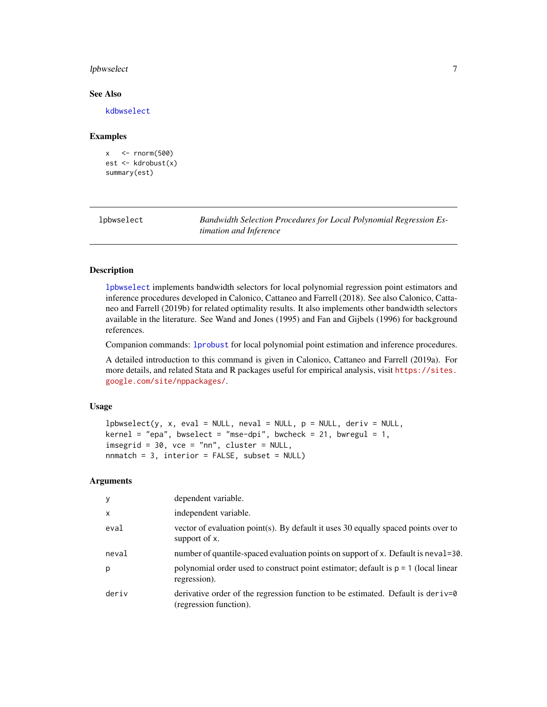#### <span id="page-6-0"></span>lpbwselect 2008 and 2008 and 2008 and 2008 and 2008 and 2008 and 2008 and 2008 and 2008 and 2008 and 2008 and 2008 and 2008 and 2008 and 2008 and 2008 and 2008 and 2008 and 2008 and 2008 and 2008 and 2008 and 2008 and 2008

#### See Also

[kdbwselect](#page-2-1)

#### Examples

```
x \le - rnorm(500)
est <- kdrobust(x)
summary(est)
```
<span id="page-6-1"></span>

| lpbwselect | Bandwidth Selection Procedures for Local Polynomial Regression Es- |
|------------|--------------------------------------------------------------------|
|            | timation and Inference                                             |

#### Description

[lpbwselect](#page-6-1) implements bandwidth selectors for local polynomial regression point estimators and inference procedures developed in Calonico, Cattaneo and Farrell (2018). See also Calonico, Cattaneo and Farrell (2019b) for related optimality results. It also implements other bandwidth selectors available in the literature. See Wand and Jones (1995) and Fan and Gijbels (1996) for background references.

Companion commands: [lprobust](#page-8-1) for local polynomial point estimation and inference procedures.

A detailed introduction to this command is given in Calonico, Cattaneo and Farrell (2019a). For more details, and related Stata and R packages useful for empirical analysis, visit [https://sites.](https://sites.google.com/site/nppackages/) [google.com/site/nppackages/](https://sites.google.com/site/nppackages/).

#### Usage

```
lpbwselect(y, x, eval = NULL, neval = NULL, p = NULL, deriv = NULL,
\text{kernel} = \text{"epa", bwselect} = \text{"mse-dpi", bwcheck} = 21, \text{bwregul} = 1,imesgrid = 30, vce = "nn", cluster = NULL,
nnmatch = 3, interior = FALSE, subset = NULL)
```

| y            | dependent variable.                                                                                       |
|--------------|-----------------------------------------------------------------------------------------------------------|
| $\mathsf{x}$ | independent variable.                                                                                     |
| eval         | vector of evaluation point(s). By default it uses 30 equally spaced points over to<br>support of x.       |
| neval        | number of quantile-spaced evaluation points on support of x. Default is neval=30.                         |
| p            | polynomial order used to construct point estimator; default is $p = 1$ (local linear<br>regression).      |
| deriv        | derivative order of the regression function to be estimated. Default is deriv=0<br>(regression function). |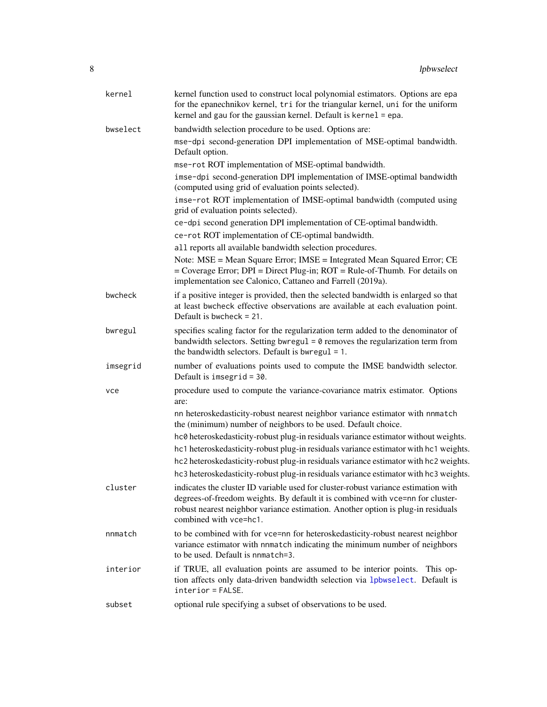<span id="page-7-0"></span>

| kernel   | kernel function used to construct local polynomial estimators. Options are epa<br>for the epanechnikov kernel, tri for the triangular kernel, uni for the uniform<br>kernel and gau for the gaussian kernel. Default is kernel = epa.                                              |
|----------|------------------------------------------------------------------------------------------------------------------------------------------------------------------------------------------------------------------------------------------------------------------------------------|
| bwselect | bandwidth selection procedure to be used. Options are:                                                                                                                                                                                                                             |
|          | mse-dpi second-generation DPI implementation of MSE-optimal bandwidth.<br>Default option.                                                                                                                                                                                          |
|          | mse-rot ROT implementation of MSE-optimal bandwidth.                                                                                                                                                                                                                               |
|          | imse-dpi second-generation DPI implementation of IMSE-optimal bandwidth<br>(computed using grid of evaluation points selected).                                                                                                                                                    |
|          | imse-rot ROT implementation of IMSE-optimal bandwidth (computed using<br>grid of evaluation points selected).                                                                                                                                                                      |
|          | ce-dpi second generation DPI implementation of CE-optimal bandwidth.<br>ce-rot ROT implementation of CE-optimal bandwidth.                                                                                                                                                         |
|          | all reports all available bandwidth selection procedures.                                                                                                                                                                                                                          |
|          | Note: MSE = Mean Square Error; IMSE = Integrated Mean Squared Error; CE<br>$=$ Coverage Error; DPI $=$ Direct Plug-in; ROT $=$ Rule-of-Thumb. For details on<br>implementation see Calonico, Cattaneo and Farrell (2019a).                                                         |
| bwcheck  | if a positive integer is provided, then the selected bandwidth is enlarged so that<br>at least bwcheck effective observations are available at each evaluation point.<br>Default is bwcheck $= 21$ .                                                                               |
| bwregul  | specifies scaling factor for the regularization term added to the denominator of<br>bandwidth selectors. Setting bwregul = $\theta$ removes the regularization term from<br>the bandwidth selectors. Default is bwregul $= 1$ .                                                    |
| imsegrid | number of evaluations points used to compute the IMSE bandwidth selector.<br>Default is imsegrid = $30$ .                                                                                                                                                                          |
| vce      | procedure used to compute the variance-covariance matrix estimator. Options<br>are:                                                                                                                                                                                                |
|          | nn heteroskedasticity-robust nearest neighbor variance estimator with nnmatch<br>the (minimum) number of neighbors to be used. Default choice.                                                                                                                                     |
|          | hc0 heteroskedasticity-robust plug-in residuals variance estimator without weights.                                                                                                                                                                                                |
|          | hc1 heteroskedasticity-robust plug-in residuals variance estimator with hc1 weights.                                                                                                                                                                                               |
|          | hc2 heteroskedasticity-robust plug-in residuals variance estimator with hc2 weights.<br>hc3 heteroskedasticity-robust plug-in residuals variance estimator with hc3 weights.                                                                                                       |
| cluster  | indicates the cluster ID variable used for cluster-robust variance estimation with<br>degrees-of-freedom weights. By default it is combined with vce=nn for cluster-<br>robust nearest neighbor variance estimation. Another option is plug-in residuals<br>combined with vce=hc1. |
| nnmatch  | to be combined with for vce=nn for heteroskedasticity-robust nearest neighbor<br>variance estimator with nnmatch indicating the minimum number of neighbors<br>to be used. Default is nomatch=3.                                                                                   |
| interior | if TRUE, all evaluation points are assumed to be interior points.<br>This op-<br>tion affects only data-driven bandwidth selection via 1pbwse1ect. Default is<br>interior = FALSE.                                                                                                 |
| subset   | optional rule specifying a subset of observations to be used.                                                                                                                                                                                                                      |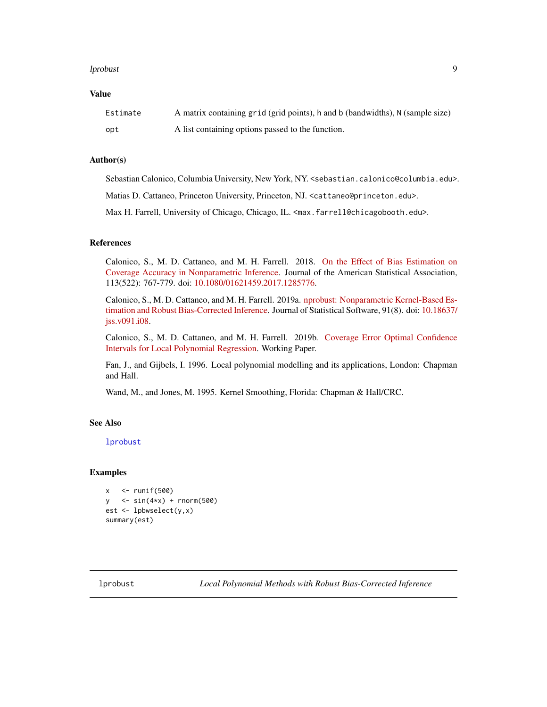#### <span id="page-8-0"></span>lprobust the contract of the contract of the contract of the contract of the contract of the contract of the contract of the contract of the contract of the contract of the contract of the contract of the contract of the c

#### Value

| Estimate | A matrix containing grid (grid points), h and b (bandwidths), N (sample size) |
|----------|-------------------------------------------------------------------------------|
| opt      | A list containing options passed to the function.                             |

#### Author(s)

Sebastian Calonico, Columbia University, New York, NY. <sebastian.calonico@columbia.edu>.

Matias D. Cattaneo, Princeton University, Princeton, NJ. <cattaneo@princeton.edu>.

Max H. Farrell, University of Chicago, Chicago, IL. <max.farrell@chicagobooth.edu>.

#### References

Calonico, S., M. D. Cattaneo, and M. H. Farrell. 2018. [On the Effect of Bias Estimation on](https://sites.google.com/site/nppackages/nprobust/Calonico-Cattaneo-Farrell_2018_JASA.pdf) [Coverage Accuracy in Nonparametric Inference.](https://sites.google.com/site/nppackages/nprobust/Calonico-Cattaneo-Farrell_2018_JASA.pdf) Journal of the American Statistical Association, 113(522): 767-779. doi: [10.1080/01621459.2017.1285776.](https://doi.org/10.1080/01621459.2017.1285776)

Calonico, S., M. D. Cattaneo, and M. H. Farrell. 2019a. [nprobust: Nonparametric Kernel-Based Es](http://sites.google.com/site/nppackages/nprobust/Calonico-Cattaneo-Farrell_2019_JSS.pdf)[timation and Robust Bias-Corrected Inference.](http://sites.google.com/site/nppackages/nprobust/Calonico-Cattaneo-Farrell_2019_JSS.pdf) Journal of Statistical Software, 91(8). doi: [10.18637/](https://doi.org/10.18637/jss.v091.i08) [jss.v091.i08.](https://doi.org/10.18637/jss.v091.i08)

Calonico, S., M. D. Cattaneo, and M. H. Farrell. 2019b. [Coverage Error Optimal Confidence](https://sites.google.com/site/nppackages/nprobust/Calonico-Cattaneo-Farrell_2019_CEopt.pdf) [Intervals for Local Polynomial Regression.](https://sites.google.com/site/nppackages/nprobust/Calonico-Cattaneo-Farrell_2019_CEopt.pdf) Working Paper.

Fan, J., and Gijbels, I. 1996. Local polynomial modelling and its applications, London: Chapman and Hall.

Wand, M., and Jones, M. 1995. Kernel Smoothing, Florida: Chapman & Hall/CRC.

#### See Also

[lprobust](#page-8-1)

#### Examples

```
x \le - runif(500)
y \le \sin(4 \times x) + \text{norm}(500)est <- lpbwselect(y,x)
summary(est)
```
<span id="page-8-1"></span>lprobust *Local Polynomial Methods with Robust Bias-Corrected Inference*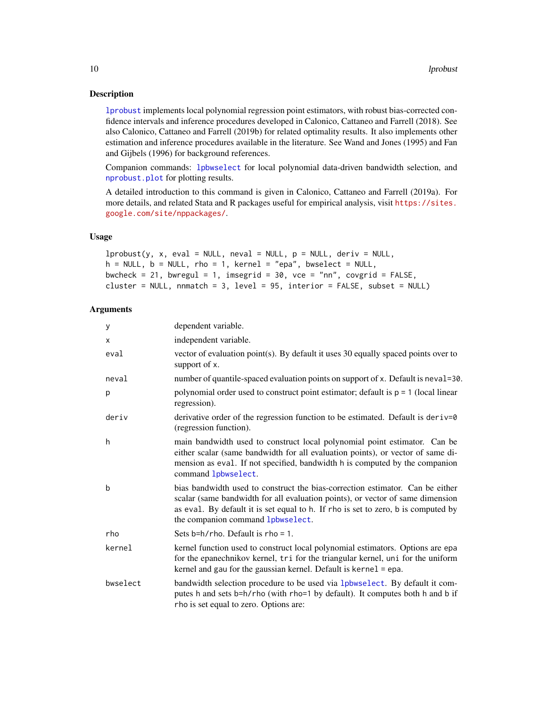#### <span id="page-9-0"></span>Description

[lprobust](#page-8-1) implements local polynomial regression point estimators, with robust bias-corrected confidence intervals and inference procedures developed in Calonico, Cattaneo and Farrell (2018). See also Calonico, Cattaneo and Farrell (2019b) for related optimality results. It also implements other estimation and inference procedures available in the literature. See Wand and Jones (1995) and Fan and Gijbels (1996) for background references.

Companion commands: [lpbwselect](#page-6-1) for local polynomial data-driven bandwidth selection, and [nprobust.plot](#page-12-1) for plotting results.

A detailed introduction to this command is given in Calonico, Cattaneo and Farrell (2019a). For more details, and related Stata and R packages useful for empirical analysis, visit [https://sites.](https://sites.google.com/site/nppackages/) [google.com/site/nppackages/](https://sites.google.com/site/nppackages/).

#### Usage

```
lprobust(y, x, eval = NULL, neural = NULL, p = NULL, deriv = NULL,h = NULL, b = NULL, rho = 1, kernel = "epa", bwselect = NULL,
bwcheck = 21, bwregul = 1, imsegrid = 30, vce = "nn", covgrid = FALSE,
cluster = NULL, nnmatch = 3, level = 95, interior = FALSE, subset = NULL)
```

| y        | dependent variable.                                                                                                                                                                                                                                                                       |
|----------|-------------------------------------------------------------------------------------------------------------------------------------------------------------------------------------------------------------------------------------------------------------------------------------------|
| X        | independent variable.                                                                                                                                                                                                                                                                     |
| eval     | vector of evaluation point(s). By default it uses 30 equally spaced points over to<br>support of x.                                                                                                                                                                                       |
| neval    | number of quantile-spaced evaluation points on support of x. Default is neval=30.                                                                                                                                                                                                         |
| p        | polynomial order used to construct point estimator; default is $p = 1$ (local linear<br>regression).                                                                                                                                                                                      |
| deriv    | derivative order of the regression function to be estimated. Default is deriv=0<br>(regression function).                                                                                                                                                                                 |
| h        | main bandwidth used to construct local polynomial point estimator. Can be<br>either scalar (same bandwidth for all evaluation points), or vector of same di-<br>mension as eval. If not specified, bandwidth h is computed by the companion<br>command lpbwselect.                        |
| b        | bias bandwidth used to construct the bias-correction estimator. Can be either<br>scalar (same bandwidth for all evaluation points), or vector of same dimension<br>as eval. By default it is set equal to h. If rho is set to zero, b is computed by<br>the companion command lpbwselect. |
| rho      | Sets $b=h/r$ ho. Default is rho = 1.                                                                                                                                                                                                                                                      |
| kernel   | kernel function used to construct local polynomial estimators. Options are epa<br>for the epanechnikov kernel, tri for the triangular kernel, uni for the uniform<br>kernel and gau for the gaussian kernel. Default is kernel = epa.                                                     |
| bwselect | bandwidth selection procedure to be used via 1pbwse1ect. By default it com-<br>putes h and sets b=h/rho (with rho=1 by default). It computes both h and b if<br>rho is set equal to zero. Options are:                                                                                    |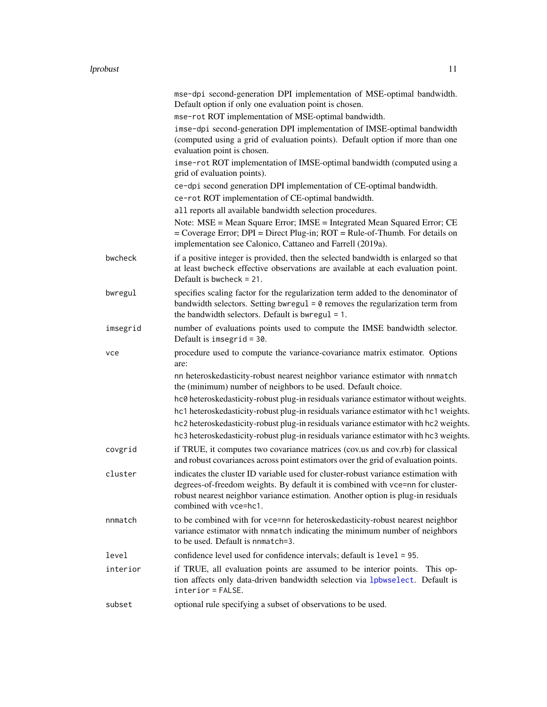|          | mse-dpi second-generation DPI implementation of MSE-optimal bandwidth.<br>Default option if only one evaluation point is chosen.                                                                                                                                                                                                                            |
|----------|-------------------------------------------------------------------------------------------------------------------------------------------------------------------------------------------------------------------------------------------------------------------------------------------------------------------------------------------------------------|
|          | mse-rot ROT implementation of MSE-optimal bandwidth.                                                                                                                                                                                                                                                                                                        |
|          | imse-dpi second-generation DPI implementation of IMSE-optimal bandwidth<br>(computed using a grid of evaluation points). Default option if more than one<br>evaluation point is chosen.                                                                                                                                                                     |
|          | imse-rot ROT implementation of IMSE-optimal bandwidth (computed using a<br>grid of evaluation points).                                                                                                                                                                                                                                                      |
|          | ce-dpi second generation DPI implementation of CE-optimal bandwidth.                                                                                                                                                                                                                                                                                        |
|          | ce-rot ROT implementation of CE-optimal bandwidth.                                                                                                                                                                                                                                                                                                          |
|          | all reports all available bandwidth selection procedures.                                                                                                                                                                                                                                                                                                   |
|          | Note: MSE = Mean Square Error; IMSE = Integrated Mean Squared Error; CE<br>$=$ Coverage Error; DPI $=$ Direct Plug-in; ROT $=$ Rule-of-Thumb. For details on<br>implementation see Calonico, Cattaneo and Farrell (2019a).                                                                                                                                  |
| bwcheck  | if a positive integer is provided, then the selected bandwidth is enlarged so that<br>at least bwcheck effective observations are available at each evaluation point.<br>Default is bwcheck $= 21$ .                                                                                                                                                        |
| bwregul  | specifies scaling factor for the regularization term added to the denominator of<br>bandwidth selectors. Setting bwregul = $\theta$ removes the regularization term from<br>the bandwidth selectors. Default is bwregul = 1.                                                                                                                                |
| imsegrid | number of evaluations points used to compute the IMSE bandwidth selector.<br>Default is imsegrid = $30$ .                                                                                                                                                                                                                                                   |
| vce      | procedure used to compute the variance-covariance matrix estimator. Options<br>are:                                                                                                                                                                                                                                                                         |
|          | nn heteroskedasticity-robust nearest neighbor variance estimator with nnmatch<br>the (minimum) number of neighbors to be used. Default choice.                                                                                                                                                                                                              |
|          | hc0 heteroskedasticity-robust plug-in residuals variance estimator without weights.<br>hc1 heteroskedasticity-robust plug-in residuals variance estimator with hc1 weights.<br>hc2 heteroskedasticity-robust plug-in residuals variance estimator with hc2 weights.<br>hc3 heteroskedasticity-robust plug-in residuals variance estimator with hc3 weights. |
| covgrid  | if TRUE, it computes two covariance matrices (cov.us and cov.rb) for classical<br>and robust covariances across point estimators over the grid of evaluation points.                                                                                                                                                                                        |
| cluster  | indicates the cluster ID variable used for cluster-robust variance estimation with<br>degrees-of-freedom weights. By default it is combined with vce=nn for cluster-<br>robust nearest neighbor variance estimation. Another option is plug-in residuals<br>combined with vce=hc1.                                                                          |
| nnmatch  | to be combined with for vce=nn for heteroskedasticity-robust nearest neighbor<br>variance estimator with nnmatch indicating the minimum number of neighbors<br>to be used. Default is nnmatch=3.                                                                                                                                                            |
| level    | confidence level used for confidence intervals; default is level = 95.                                                                                                                                                                                                                                                                                      |
| interior | if TRUE, all evaluation points are assumed to be interior points.<br>This op-<br>tion affects only data-driven bandwidth selection via 1pbwselect. Default is<br>interior = FALSE.                                                                                                                                                                          |
| subset   | optional rule specifying a subset of observations to be used.                                                                                                                                                                                                                                                                                               |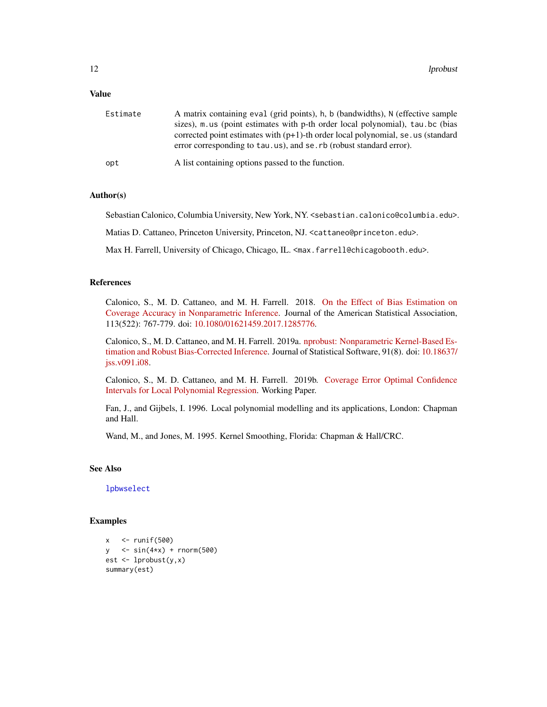#### <span id="page-11-0"></span>Value

| Estimate | A matrix containing eval (grid points), h, b (bandwidths), N (effective sample                                                                           |
|----------|----------------------------------------------------------------------------------------------------------------------------------------------------------|
|          | sizes), m.us (point estimates with p-th order local polynomial), tau.bc (bias                                                                            |
|          | corrected point estimates with $(p+1)$ -th order local polynomial, se us (standard<br>error corresponding to tau.us), and se.rb (robust standard error). |
| opt      | A list containing options passed to the function.                                                                                                        |

#### Author(s)

Sebastian Calonico, Columbia University, New York, NY. <sebastian.calonico@columbia.edu>.

Matias D. Cattaneo, Princeton University, Princeton, NJ. <cattaneo@princeton.edu>.

Max H. Farrell, University of Chicago, Chicago, IL. <max.farrell@chicagobooth.edu>.

#### References

Calonico, S., M. D. Cattaneo, and M. H. Farrell. 2018. [On the Effect of Bias Estimation on](https://sites.google.com/site/nppackages/nprobust/Calonico-Cattaneo-Farrell_2018_JASA.pdf) [Coverage Accuracy in Nonparametric Inference.](https://sites.google.com/site/nppackages/nprobust/Calonico-Cattaneo-Farrell_2018_JASA.pdf) Journal of the American Statistical Association, 113(522): 767-779. doi: [10.1080/01621459.2017.1285776.](https://doi.org/10.1080/01621459.2017.1285776)

Calonico, S., M. D. Cattaneo, and M. H. Farrell. 2019a. [nprobust: Nonparametric Kernel-Based Es](http://sites.google.com/site/nppackages/nprobust/Calonico-Cattaneo-Farrell_2019_JSS.pdf)[timation and Robust Bias-Corrected Inference.](http://sites.google.com/site/nppackages/nprobust/Calonico-Cattaneo-Farrell_2019_JSS.pdf) Journal of Statistical Software, 91(8). doi: [10.18637/](https://doi.org/10.18637/jss.v091.i08) [jss.v091.i08.](https://doi.org/10.18637/jss.v091.i08)

Calonico, S., M. D. Cattaneo, and M. H. Farrell. 2019b. [Coverage Error Optimal Confidence](https://sites.google.com/site/nppackages/nprobust/Calonico-Cattaneo-Farrell_2019_CEopt.pdf) [Intervals for Local Polynomial Regression.](https://sites.google.com/site/nppackages/nprobust/Calonico-Cattaneo-Farrell_2019_CEopt.pdf) Working Paper.

Fan, J., and Gijbels, I. 1996. Local polynomial modelling and its applications, London: Chapman and Hall.

Wand, M., and Jones, M. 1995. Kernel Smoothing, Florida: Chapman & Hall/CRC.

#### See Also

[lpbwselect](#page-6-1)

#### Examples

```
x \le - runif(500)
y \le - \sin(4*x) + \text{norm}(500)est <- lprobust(y,x)
summary(est)
```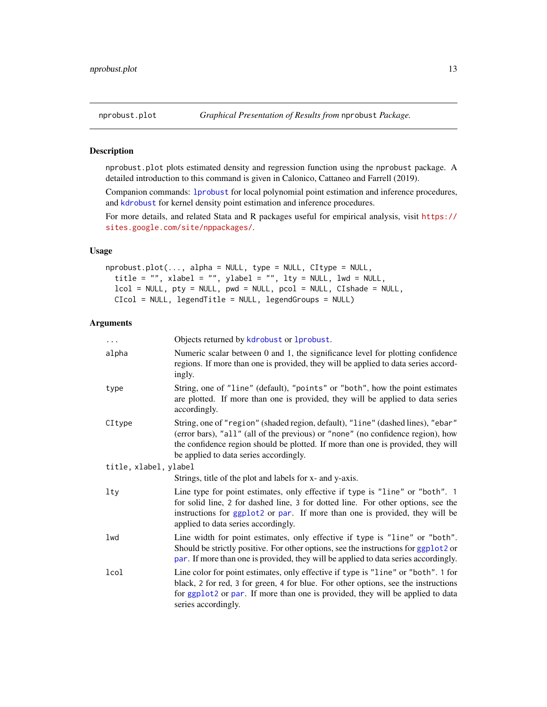<span id="page-12-1"></span><span id="page-12-0"></span>

#### Description

nprobust.plot plots estimated density and regression function using the nprobust package. A detailed introduction to this command is given in Calonico, Cattaneo and Farrell (2019).

Companion commands: [lprobust](#page-8-1) for local polynomial point estimation and inference procedures, and [kdrobust](#page-4-1) for kernel density point estimation and inference procedures.

For more details, and related Stata and R packages useful for empirical analysis, visit [https://](https://sites.google.com/site/nppackages/) [sites.google.com/site/nppackages/](https://sites.google.com/site/nppackages/).

#### Usage

```
nprobust.plot(..., alpha = NULL, type = NULL, CItype = NULL,
  title = "", xlabel = "", ylabel = "", lty = NULL, lwd = NULL,
  lcol = NULL, pty = NULL, pwd = NULL, pcol = NULL, CIshade = NULL,
  CIcol = NULL, legendTitle = NULL, legendGroups = NULL)
```

| $\ddots$              | Objects returned by kdrobust or 1 probust.                                                                                                                                                                                                                                                       |
|-----------------------|--------------------------------------------------------------------------------------------------------------------------------------------------------------------------------------------------------------------------------------------------------------------------------------------------|
| alpha                 | Numeric scalar between 0 and 1, the significance level for plotting confidence<br>regions. If more than one is provided, they will be applied to data series accord-<br>ingly.                                                                                                                   |
| type                  | String, one of "line" (default), "points" or "both", how the point estimates<br>are plotted. If more than one is provided, they will be applied to data series<br>accordingly.                                                                                                                   |
| CItype                | String, one of "region" (shaded region, default), "line" (dashed lines), "ebar"<br>(error bars), "all" (all of the previous) or "none" (no confidence region), how<br>the confidence region should be plotted. If more than one is provided, they will<br>be applied to data series accordingly. |
| title, xlabel, ylabel |                                                                                                                                                                                                                                                                                                  |
|                       | Strings, title of the plot and labels for x- and y-axis.                                                                                                                                                                                                                                         |
| lty                   | Line type for point estimates, only effective if type is "line" or "both". 1<br>for solid line, 2 for dashed line, 3 for dotted line. For other options, see the<br>instructions for ggplot2 or par. If more than one is provided, they will be<br>applied to data series accordingly.           |
| lwd                   | Line width for point estimates, only effective if type is "line" or "both".<br>Should be strictly positive. For other options, see the instructions for ggplot2 or<br>par. If more than one is provided, they will be applied to data series accordingly.                                        |
| lcol                  | Line color for point estimates, only effective if type is "line" or "both". 1 for<br>black, 2 for red, 3 for green, 4 for blue. For other options, see the instructions<br>for ggplot2 or par. If more than one is provided, they will be applied to data<br>series accordingly.                 |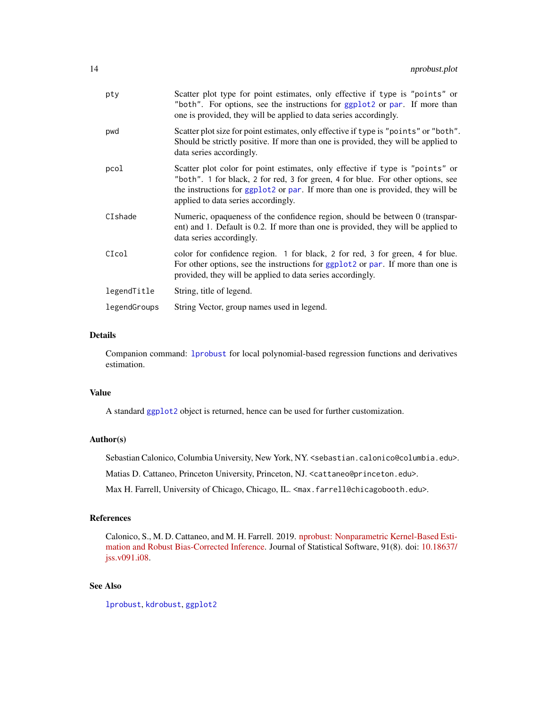<span id="page-13-0"></span>

| pty          | Scatter plot type for point estimates, only effective if type is "points" or<br>"both". For options, see the instructions for ggplot2 or par. If more than<br>one is provided, they will be applied to data series accordingly.                                                            |
|--------------|--------------------------------------------------------------------------------------------------------------------------------------------------------------------------------------------------------------------------------------------------------------------------------------------|
| pwd          | Scatter plot size for point estimates, only effective if type is "points" or "both".<br>Should be strictly positive. If more than one is provided, they will be applied to<br>data series accordingly.                                                                                     |
| pcol         | Scatter plot color for point estimates, only effective if type is "points" or<br>"both". 1 for black, 2 for red, 3 for green, 4 for blue. For other options, see<br>the instructions for ggplot2 or par. If more than one is provided, they will be<br>applied to data series accordingly. |
| CIshade      | Numeric, opaqueness of the confidence region, should be between 0 (transpar-<br>ent) and 1. Default is 0.2. If more than one is provided, they will be applied to<br>data series accordingly.                                                                                              |
| CIcol        | color for confidence region. 1 for black, 2 for red, 3 for green, 4 for blue.<br>For other options, see the instructions for ggplot2 or par. If more than one is<br>provided, they will be applied to data series accordingly.                                                             |
| legendTitle  | String, title of legend.                                                                                                                                                                                                                                                                   |
| legendGroups | String Vector, group names used in legend.                                                                                                                                                                                                                                                 |

#### Details

Companion command: [lprobust](#page-8-1) for local polynomial-based regression functions and derivatives estimation.

#### Value

A standard [ggplot2](#page-0-0) object is returned, hence can be used for further customization.

#### Author(s)

Sebastian Calonico, Columbia University, New York, NY. <sebastian.calonico@columbia.edu>.

Matias D. Cattaneo, Princeton University, Princeton, NJ. <cattaneo@princeton.edu>.

Max H. Farrell, University of Chicago, Chicago, IL. <max.farrell@chicagobooth.edu>.

#### References

Calonico, S., M. D. Cattaneo, and M. H. Farrell. 2019. [nprobust: Nonparametric Kernel-Based Esti](http://sites.google.com/site/nppackages/nprobust/Calonico-Cattaneo-Farrell_2019_JSS.pdf)[mation and Robust Bias-Corrected Inference.](http://sites.google.com/site/nppackages/nprobust/Calonico-Cattaneo-Farrell_2019_JSS.pdf) Journal of Statistical Software, 91(8). doi: [10.18637/](https://doi.org/10.18637/jss.v091.i08) [jss.v091.i08.](https://doi.org/10.18637/jss.v091.i08)

#### See Also

[lprobust](#page-8-1), [kdrobust](#page-4-1), [ggplot2](#page-0-0)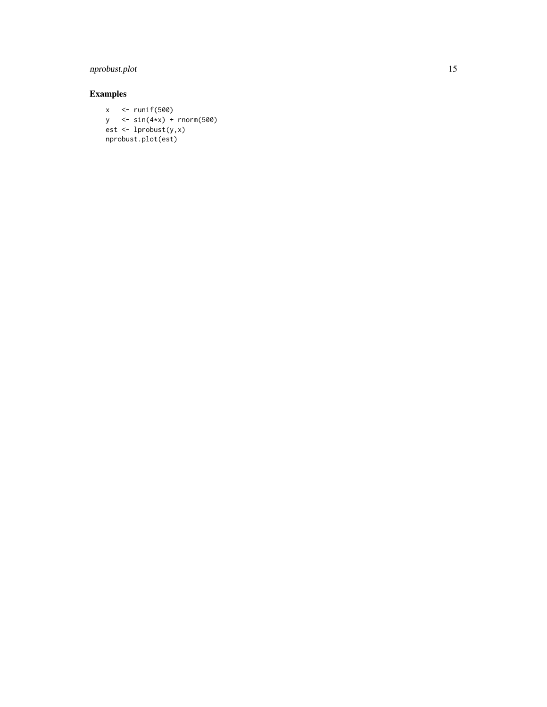#### nprobust.plot 15

### Examples

x <- runif(500) y <- sin(4\*x) + rnorm(500) est <- lprobust(y,x) nprobust.plot(est)